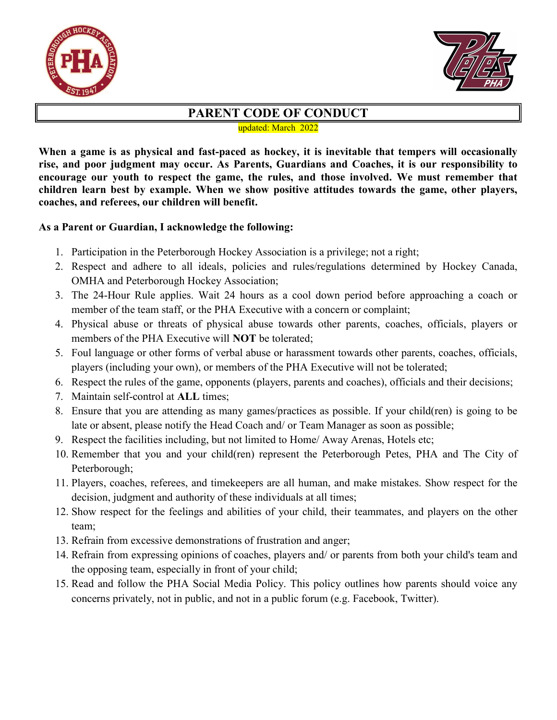



## PARENT CODE OF CONDUCT

updated: March 2022

When a game is as physical and fast-paced as hockey, it is inevitable that tempers will occasionally rise, and poor judgment may occur. As Parents, Guardians and Coaches, it is our responsibility to encourage our youth to respect the game, the rules, and those involved. We must remember that children learn best by example. When we show positive attitudes towards the game, other players, coaches, and referees, our children will benefit.

## As a Parent or Guardian, I acknowledge the following:

- 1. Participation in the Peterborough Hockey Association is a privilege; not a right;
- 2. Respect and adhere to all ideals, policies and rules/regulations determined by Hockey Canada, OMHA and Peterborough Hockey Association;
- 3. The 24-Hour Rule applies. Wait 24 hours as a cool down period before approaching a coach or member of the team staff, or the PHA Executive with a concern or complaint;
- 4. Physical abuse or threats of physical abuse towards other parents, coaches, officials, players or members of the PHA Executive will NOT be tolerated;
- 5. Foul language or other forms of verbal abuse or harassment towards other parents, coaches, officials, players (including your own), or members of the PHA Executive will not be tolerated;
- 6. Respect the rules of the game, opponents (players, parents and coaches), officials and their decisions;
- 7. Maintain self-control at ALL times;
- 8. Ensure that you are attending as many games/practices as possible. If your child(ren) is going to be late or absent, please notify the Head Coach and/ or Team Manager as soon as possible;
- 9. Respect the facilities including, but not limited to Home/ Away Arenas, Hotels etc;
- 10. Remember that you and your child(ren) represent the Peterborough Petes, PHA and The City of Peterborough;
- 11. Players, coaches, referees, and timekeepers are all human, and make mistakes. Show respect for the decision, judgment and authority of these individuals at all times;
- 12. Show respect for the feelings and abilities of your child, their teammates, and players on the other team;
- 13. Refrain from excessive demonstrations of frustration and anger;
- 14. Refrain from expressing opinions of coaches, players and/ or parents from both your child's team and the opposing team, especially in front of your child;
- 15. Read and follow the PHA Social Media Policy. This policy outlines how parents should voice any concerns privately, not in public, and not in a public forum (e.g. Facebook, Twitter).